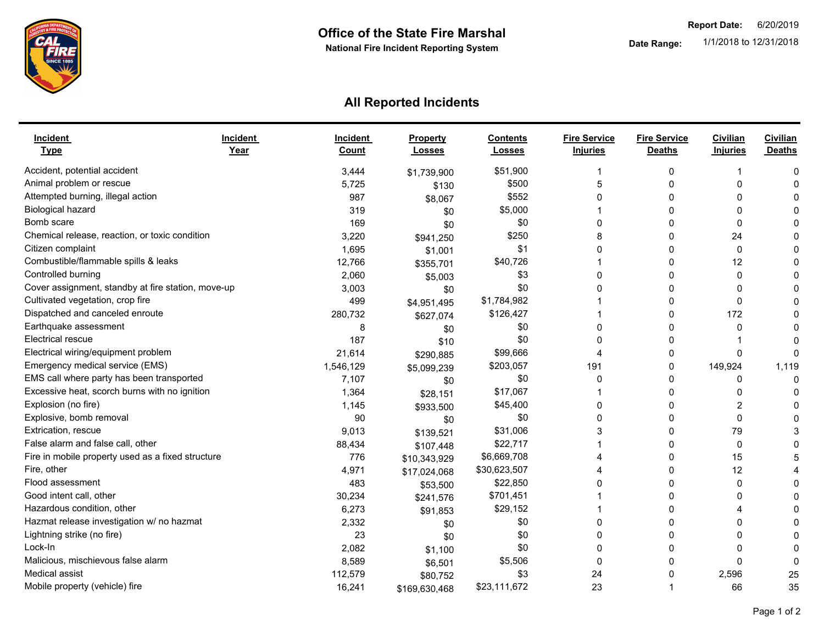

## **All Reported Incidents**

| <b>Incident</b><br><b>Type</b>                     | <b>Incident</b><br>Year | <b>Incident</b><br>Count | Property<br><b>Losses</b> | <b>Contents</b><br><b>Losses</b> | <b>Fire Service</b><br><b>Injuries</b> | <b>Fire Service</b><br><b>Deaths</b> | Civilian<br><b>Injuries</b> | <b>Civilian</b><br><b>Deaths</b> |
|----------------------------------------------------|-------------------------|--------------------------|---------------------------|----------------------------------|----------------------------------------|--------------------------------------|-----------------------------|----------------------------------|
| Accident, potential accident                       |                         | 3,444                    | \$1,739,900               | \$51,900                         |                                        | 0                                    |                             | O                                |
| Animal problem or rescue                           |                         | 5,725                    | \$130                     | \$500                            | 5                                      | 0                                    | $\Omega$                    |                                  |
| Attempted burning, illegal action                  |                         | 987                      | \$8,067                   | \$552                            | $\Omega$                               | 0                                    | <sup>0</sup>                |                                  |
| Biological hazard                                  |                         | 319                      | \$0                       | \$5,000                          |                                        | 0                                    | $\Omega$                    |                                  |
| Bomb scare                                         |                         | 169                      | \$0                       | \$0                              | 0                                      | $\Omega$                             | $\Omega$                    |                                  |
| Chemical release, reaction, or toxic condition     |                         | 3,220                    | \$941,250                 | \$250                            | 8                                      | 0                                    | 24                          |                                  |
| Citizen complaint                                  |                         | 1,695                    | \$1,001                   | \$1                              | $\Omega$                               | 0                                    | $\Omega$                    |                                  |
| Combustible/flammable spills & leaks               |                         | 12,766                   | \$355,701                 | \$40,726                         |                                        | 0                                    | 12                          |                                  |
| Controlled burning                                 |                         | 2,060                    | \$5,003                   | \$3                              | $\Omega$                               | $\Omega$                             | $\Omega$                    |                                  |
| Cover assignment, standby at fire station, move-up |                         | 3,003                    | \$0                       | \$0                              | $\Omega$                               | $\Omega$                             | $\Omega$                    |                                  |
| Cultivated vegetation, crop fire                   |                         | 499                      | \$4,951,495               | \$1,784,982                      |                                        | 0                                    | $\Omega$                    |                                  |
| Dispatched and canceled enroute                    |                         | 280,732                  | \$627,074                 | \$126,427                        |                                        | 0                                    | 172                         |                                  |
| Earthquake assessment                              |                         | 8                        | \$0                       | \$0                              | $\Omega$                               | 0                                    | 0                           |                                  |
| <b>Electrical rescue</b>                           |                         | 187                      | \$10                      | \$0                              | 0                                      | 0                                    |                             |                                  |
| Electrical wiring/equipment problem                |                         | 21,614                   | \$290,885                 | \$99,666                         |                                        | 0                                    | <sup>0</sup>                |                                  |
| Emergency medical service (EMS)                    |                         | 1,546,129                | \$5,099,239               | \$203,057                        | 191                                    | 0                                    | 149,924                     | 1,119                            |
| EMS call where party has been transported          |                         | 7,107                    | \$0                       | \$0                              | $\Omega$                               | 0                                    | $\Omega$                    | $\Omega$                         |
| Excessive heat, scorch burns with no ignition      |                         | 1,364                    | \$28,151                  | \$17,067                         |                                        | 0                                    | $\Omega$                    |                                  |
| Explosion (no fire)                                |                         | 1,145                    | \$933,500                 | \$45,400                         | 0                                      | 0                                    | 2                           |                                  |
| Explosive, bomb removal                            |                         | 90                       | \$0                       | \$0                              | 0                                      | 0                                    | 0                           |                                  |
| Extrication, rescue                                |                         | 9,013                    | \$139,521                 | \$31,006                         | 3                                      | 0                                    | 79                          |                                  |
| False alarm and false call, other                  |                         | 88,434                   | \$107,448                 | \$22,717                         |                                        | 0                                    | $\Omega$                    |                                  |
| Fire in mobile property used as a fixed structure  |                         | 776                      | \$10,343,929              | \$6,669,708                      |                                        | 0                                    | 15                          |                                  |
| Fire, other                                        |                         | 4,971                    | \$17,024,068              | \$30,623,507                     |                                        | 0                                    | 12                          |                                  |
| Flood assessment                                   |                         | 483                      | \$53,500                  | \$22,850                         |                                        | 0                                    | $\Omega$                    |                                  |
| Good intent call, other                            |                         | 30,234                   | \$241,576                 | \$701,451                        |                                        | $\Omega$                             | U                           |                                  |
| Hazardous condition, other                         |                         | 6,273                    | \$91,853                  | \$29,152                         |                                        | 0                                    |                             |                                  |
| Hazmat release investigation w/ no hazmat          |                         | 2,332                    | \$0                       | \$0                              | 0                                      | 0                                    | 0                           |                                  |
| Lightning strike (no fire)                         |                         | 23                       | \$0                       | \$0                              | 0                                      | O                                    | 0                           |                                  |
| Lock-In                                            |                         | 2,082                    | \$1,100                   | \$0                              | O                                      | 0                                    | <sup>0</sup>                |                                  |
| Malicious, mischievous false alarm                 |                         | 8,589                    | \$6,501                   | \$5,506                          | 0                                      | 0                                    | $\Omega$                    | ∩                                |
| Medical assist                                     |                         | 112,579                  | \$80,752                  | \$3                              | 24                                     | 0                                    | 2,596                       | 25                               |
| Mobile property (vehicle) fire                     |                         | 16,241                   | \$169,630,468             | \$23,111,672                     | 23                                     |                                      | 66                          | 35                               |